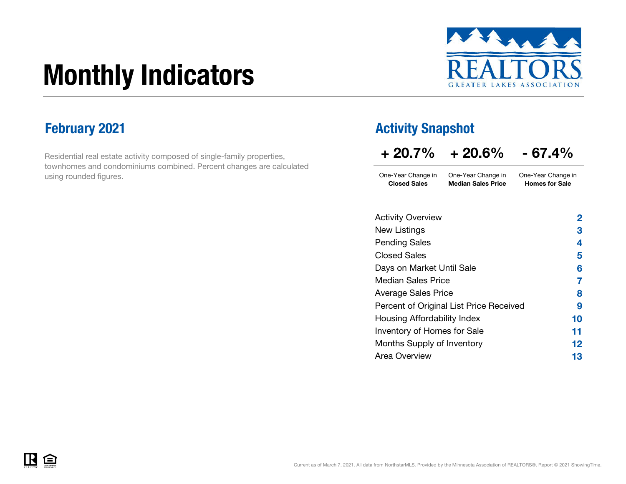# Monthly Indicators



Residential real estate activity composed of single-family properties, townhomes and condominiums combined. Percent changes are calculated using rounded figures.

### February 2021 **Activity Snapshot Activity Snapshot**

| $+20.7\%$ | $+20.6\%$ | $-67.4%$ |
|-----------|-----------|----------|
|           |           |          |

| <b>Closed Sales</b> | <b>Median Sales Price</b> | <b>Homes for Sale</b> |
|---------------------|---------------------------|-----------------------|
| One-Year Change in  | One-Year Change in        | One-Year Change in    |

| <b>Activity Overview</b>                | 2  |
|-----------------------------------------|----|
| New Listings                            | З  |
| <b>Pending Sales</b>                    | 4  |
| <b>Closed Sales</b>                     | 5  |
| Days on Market Until Sale               | 6  |
| <b>Median Sales Price</b>               | 7  |
| <b>Average Sales Price</b>              | 8  |
| Percent of Original List Price Received | 9  |
| Housing Affordability Index             | 10 |
| Inventory of Homes for Sale             | 11 |
| Months Supply of Inventory              | 12 |
| Area Overview                           | 13 |

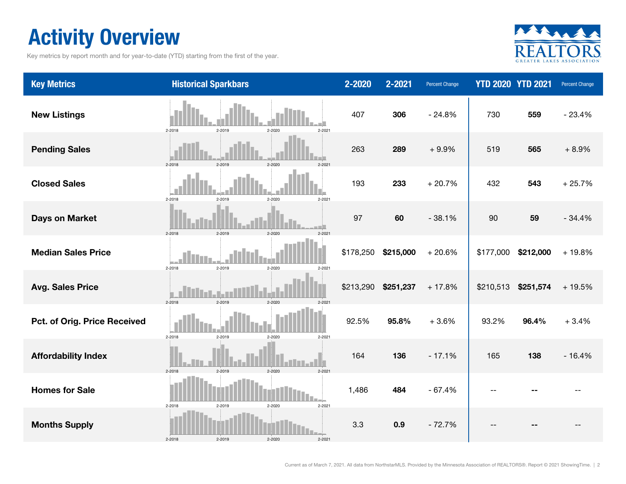### Activity Overview

Key metrics by report month and for year-to-date (YTD) starting from the first of the year.



| <b>Key Metrics</b>           | <b>Historical Sparkbars</b>                  | 2-2020    | 2-2021    | Percent Change |           | <b>YTD 2020 YTD 2021</b> | Percent Change |
|------------------------------|----------------------------------------------|-----------|-----------|----------------|-----------|--------------------------|----------------|
| <b>New Listings</b>          | 2-2019<br>2-2020<br>$2 - 2021$<br>2-2018     | 407       | 306       | $-24.8%$       | 730       | 559                      | $-23.4%$       |
| <b>Pending Sales</b>         | 2-2018<br>2-2019<br>2-2020<br>$2 - 2021$     | 263       | 289       | $+9.9%$        | 519       | 565                      | $+8.9%$        |
| <b>Closed Sales</b>          | 2-2018<br>2-2019<br>2-2020<br>$2 - 2021$     | 193       | 233       | $+20.7%$       | 432       | 543                      | $+25.7%$       |
| <b>Days on Market</b>        | 2-2018<br>2-2019<br>$2 - 2020$<br>$2 - 2021$ | 97        | 60        | $-38.1%$       | 90        | 59                       | $-34.4%$       |
| <b>Median Sales Price</b>    | 2-2018<br>2-2019<br>2-2020<br>$2 - 2021$     | \$178,250 | \$215,000 | $+20.6%$       | \$177,000 | \$212,000                | $+19.8%$       |
| <b>Avg. Sales Price</b>      | 2-2018<br>2-2019<br>$2 - 2021$<br>$2 - 2020$ | \$213,290 | \$251,237 | $+17.8%$       | \$210,513 | \$251,574                | $+19.5%$       |
| Pct. of Orig. Price Received | 2-2018<br>2-2019<br>2-2020<br>$2 - 2021$     | 92.5%     | 95.8%     | $+3.6%$        | 93.2%     | 96.4%                    | $+3.4%$        |
| <b>Affordability Index</b>   | 2-2019<br>2-2020<br>2-2018<br>$2 - 202$      | 164       | 136       | $-17.1%$       | 165       | 138                      | $-16.4%$       |
| <b>Homes for Sale</b>        | $2 - 2021$<br>2-2018<br>2-2019<br>2-2020     | 1,486     | 484       | $-67.4%$       |           |                          |                |
| <b>Months Supply</b>         | 2-2018<br>2-2019<br>2-2020<br>$2 - 2021$     | 3.3       | 0.9       | $-72.7%$       |           |                          |                |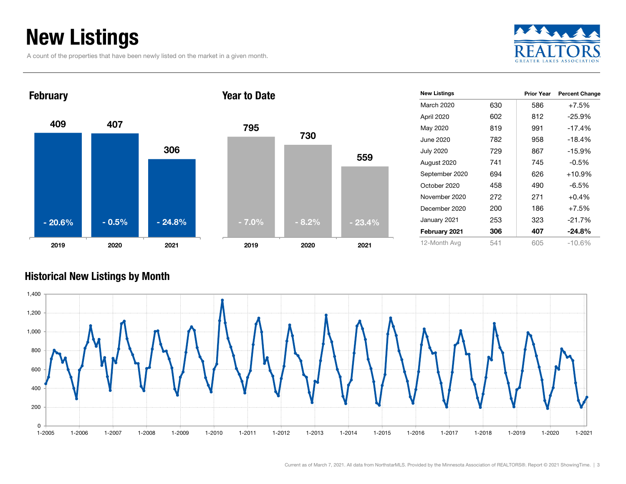### New Listings

A count of the properties that have been newly listed on the market in a given month.





| <b>New Listings</b> |     | <b>Prior Year</b> | <b>Percent Change</b> |
|---------------------|-----|-------------------|-----------------------|
| March 2020          | 630 | 586               | $+7.5%$               |
| April 2020          | 602 | 812               | $-25.9%$              |
| May 2020            | 819 | 991               | $-17.4%$              |
| June 2020           | 782 | 958               | $-18.4%$              |
| <b>July 2020</b>    | 729 | 867               | $-15.9%$              |
| August 2020         | 741 | 745               | $-0.5%$               |
| September 2020      | 694 | 626               | $+10.9%$              |
| October 2020        | 458 | 490               | $-6.5%$               |
| November 2020       | 272 | 271               | $+0.4%$               |
| December 2020       | 200 | 186               | $+7.5%$               |
| January 2021        | 253 | 323               | $-21.7%$              |
| February 2021       | 306 | 407               | $-24.8%$              |
| 12-Month Avg        | 541 | 605               | $-10.6\%$             |

#### Historical New Listings by Month

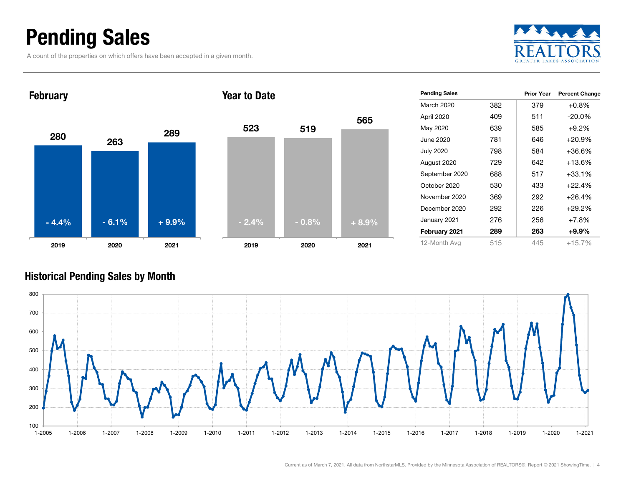### Pending Sales

A count of the properties on which offers have been accepted in a given month.





| <b>Pending Sales</b> |     | <b>Prior Year</b> | <b>Percent Change</b> |
|----------------------|-----|-------------------|-----------------------|
| March 2020           | 382 | 379               | $+0.8\%$              |
| April 2020           | 409 | 511               | $-20.0\%$             |
| May 2020             | 639 | 585               | $+9.2%$               |
| June 2020            | 781 | 646               | $+20.9%$              |
| <b>July 2020</b>     | 798 | 584               | $+36.6%$              |
| August 2020          | 729 | 642               | $+13.6%$              |
| September 2020       | 688 | 517               | $+33.1%$              |
| October 2020         | 530 | 433               | $+22.4%$              |
| November 2020        | 369 | 292               | $+26.4%$              |
| December 2020        | 292 | 226               | $+29.2%$              |
| January 2021         | 276 | 256               | $+7.8%$               |
| February 2021        | 289 | 263               | $+9.9\%$              |
| 12-Month Avg         | 515 | 445               | $+15.7%$              |

#### Historical Pending Sales by Month

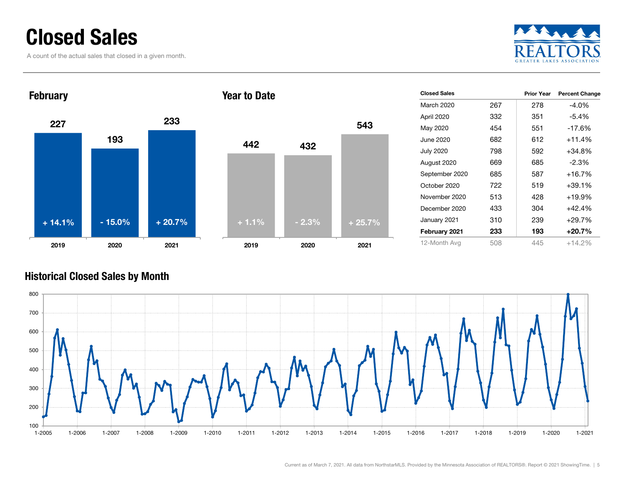### Closed Sales

A count of the actual sales that closed in a given month.





| <b>Closed Sales</b> |     | <b>Prior Year</b> | <b>Percent Change</b> |
|---------------------|-----|-------------------|-----------------------|
| March 2020          | 267 | 278               | $-4.0%$               |
| April 2020          | 332 | 351               | $-5.4%$               |
| May 2020            | 454 | 551               | $-17.6%$              |
| June 2020           | 682 | 612               | $+11.4%$              |
| <b>July 2020</b>    | 798 | 592               | $+34.8\%$             |
| August 2020         | 669 | 685               | $-2.3\%$              |
| September 2020      | 685 | 587               | $+16.7%$              |
| October 2020        | 722 | 519               | $+39.1%$              |
| November 2020       | 513 | 428               | $+19.9%$              |
| December 2020       | 433 | 304               | $+42.4%$              |
| January 2021        | 310 | 239               | $+29.7%$              |
| February 2021       | 233 | 193               | $+20.7%$              |
| 12-Month Avg        | 508 | 445               | $+14.2%$              |

#### Historical Closed Sales by Month

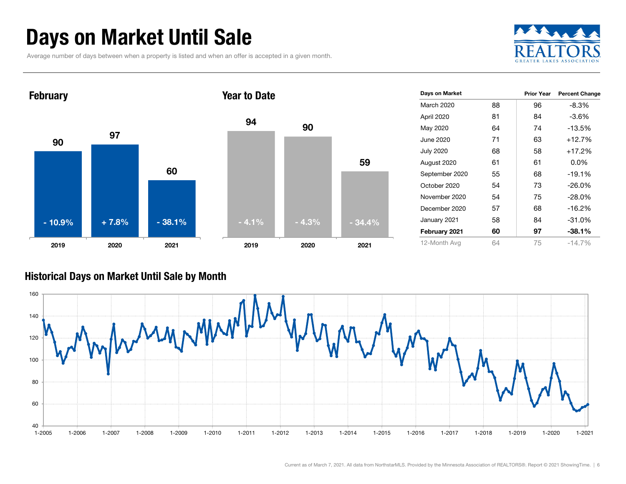### Days on Market Until Sale

Average number of days between when a property is listed and when an offer is accepted in a given month.





| Days on Market   |    | <b>Prior Year</b> | <b>Percent Change</b> |
|------------------|----|-------------------|-----------------------|
| March 2020       | 88 | 96                | $-8.3%$               |
| April 2020       | 81 | 84                | $-3.6%$               |
| May 2020         | 64 | 74                | $-13.5%$              |
| June 2020        | 71 | 63                | $+12.7%$              |
| <b>July 2020</b> | 68 | 58                | $+17.2%$              |
| August 2020      | 61 | 61                | $0.0\%$               |
| September 2020   | 55 | 68                | $-19.1%$              |
| October 2020     | 54 | 73                | $-26.0\%$             |
| November 2020    | 54 | 75                | $-28.0\%$             |
| December 2020    | 57 | 68                | $-16.2%$              |
| January 2021     | 58 | 84                | $-31.0%$              |
| February 2021    | 60 | 97                | $-38.1%$              |
| 12-Month Avg     | 64 | 75                | $-14.7%$              |

#### Historical Days on Market Until Sale by Month

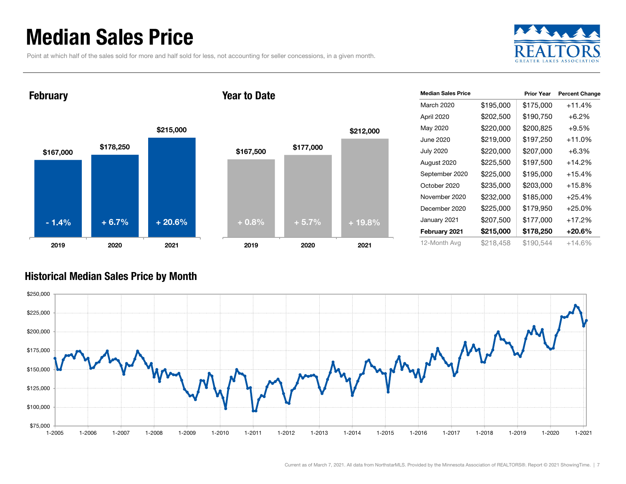### Median Sales Price

Point at which half of the sales sold for more and half sold for less, not accounting for seller concessions, in a given month.



February

#### Year to Date



| <b>Median Sales Price</b> |           | <b>Prior Year</b> | <b>Percent Change</b> |
|---------------------------|-----------|-------------------|-----------------------|
| March 2020                | \$195,000 | \$175,000         | +11.4%                |
| April 2020                | \$202,500 | \$190,750         | $+6.2\%$              |
| May 2020                  | \$220,000 | \$200.825         | $+9.5%$               |
| June 2020                 | \$219,000 | \$197,250         | +11.0%                |
| <b>July 2020</b>          | \$220,000 | \$207,000         | $+6.3\%$              |
| August 2020               | \$225,500 | \$197,500         | $+14.2%$              |
| September 2020            | \$225,000 | \$195,000         | +15.4%                |
| October 2020              | \$235,000 | \$203,000         | $+15.8%$              |
| November 2020             | \$232,000 | \$185,000         | $+25.4%$              |
| December 2020             | \$225,000 | \$179,950         | $+25.0\%$             |
| January 2021              | \$207,500 | \$177,000         | $+17.2%$              |
| February 2021             | \$215,000 | \$178,250         | +20.6%                |
| 12-Month Avg              | \$218,458 | \$190,544         | +14.6%                |

#### Historical Median Sales Price by Month

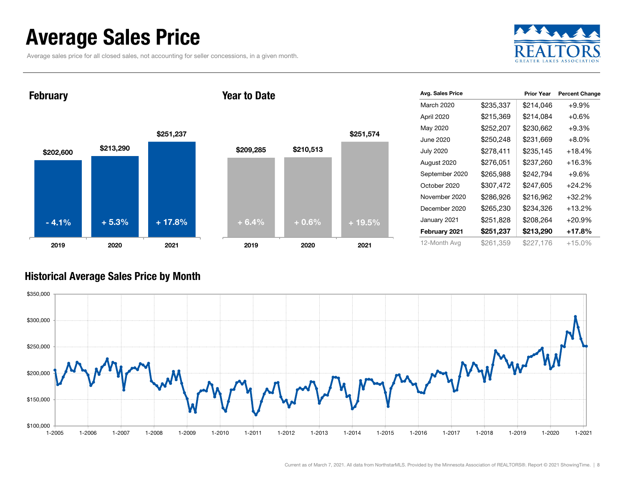### Average Sales Price

Average sales price for all closed sales, not accounting for seller concessions, in a given month.



February

#### Year to Date



| Avg. Sales Price |           | <b>Prior Year</b> | <b>Percent Change</b> |
|------------------|-----------|-------------------|-----------------------|
| March 2020       | \$235,337 | \$214,046         | $+9.9%$               |
| April 2020       | \$215,369 | \$214,084         | $+0.6\%$              |
| May 2020         | \$252,207 | \$230,662         | $+9.3%$               |
| June 2020        | \$250,248 | \$231,669         | $+8.0%$               |
| <b>July 2020</b> | \$278,411 | \$235,145         | +18.4%                |
| August 2020      | \$276,051 | \$237,260         | +16.3%                |
| September 2020   | \$265,988 | \$242,794         | $+9.6\%$              |
| October 2020     | \$307,472 | \$247,605         | $+24.2%$              |
| November 2020    | \$286,926 | \$216,962         | $+32.2%$              |
| December 2020    | \$265,230 | \$234,326         | $+13.2%$              |
| January 2021     | \$251,828 | \$208,264         | $+20.9%$              |
| February 2021    | \$251,237 | \$213,290         | +17.8%                |
| 12-Month Avg     | \$261,359 | \$227.176         | +15.0%                |

#### Historical Average Sales Price by Month

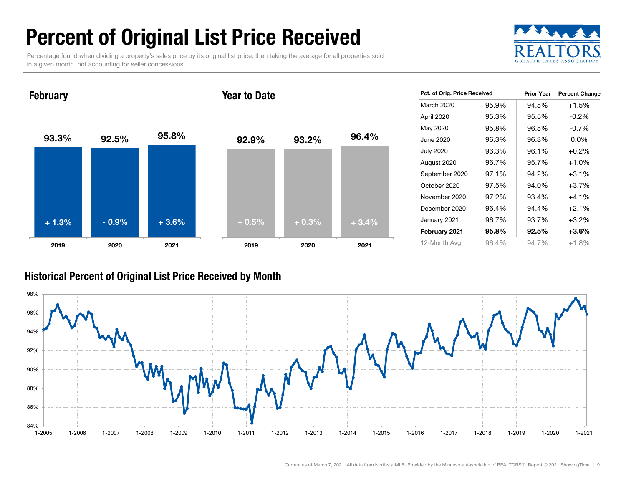## Percent of Original List Price Received

Percentage found when dividing a property's sales price by its original list price, then taking the average for all properties sold in a given month, not accounting for seller concessions.



93.3% 92.5% 95.8% 2019 2020 2021 **February** 92.9% 93.2% 96.4% 2019 2020 2021 Year to Date+ 1.3% $\%$  - 0.9% + 3.6% + 0.5% + 0.3% + 3.4%

| Pct. of Orig. Price Received |       | <b>Prior Year</b> | <b>Percent Change</b> |
|------------------------------|-------|-------------------|-----------------------|
| March 2020                   | 95.9% | 94.5%             | $+1.5%$               |
| April 2020                   | 95.3% | 95.5%             | $-0.2\%$              |
| May 2020                     | 95.8% | 96.5%             | $-0.7\%$              |
| June 2020                    | 96.3% | 96.3%             | $0.0\%$               |
| <b>July 2020</b>             | 96.3% | 96.1%             | $+0.2%$               |
| August 2020                  | 96.7% | 95.7%             | $+1.0%$               |
| September 2020               | 97.1% | 94.2%             | $+3.1%$               |
| October 2020                 | 97.5% | 94.0%             | $+3.7%$               |
| November 2020                | 97.2% | 93.4%             | $+4.1%$               |
| December 2020                | 96.4% | 94.4%             | $+2.1\%$              |
| January 2021                 | 96.7% | 93.7%             | +3.2%                 |
| February 2021                | 95.8% | $92.5\%$          | $+3.6\%$              |
| 12-Month Avg                 | 96.4% | 94.7%             | +1.8%                 |

#### Historical Percent of Original List Price Received by Month

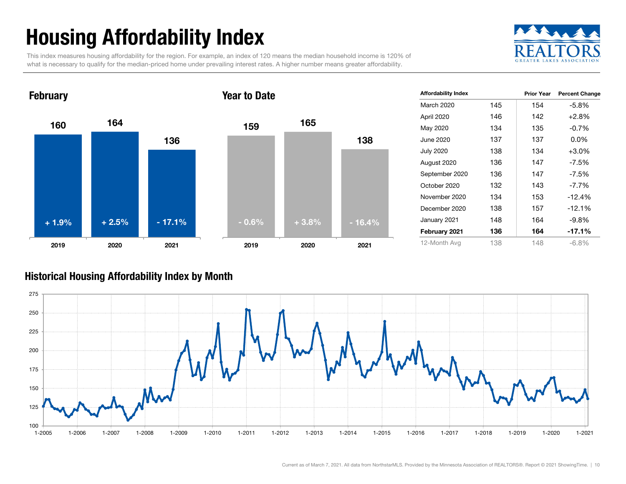## Housing Affordability Index

This index measures housing affordability for the region. For example, an index of 120 means the median household income is 120% of what is necessary to qualify for the median-priced home under prevailing interest rates. A higher number means greater affordability.





| <b>Affordability Index</b> |     | <b>Prior Year</b> | <b>Percent Change</b> |
|----------------------------|-----|-------------------|-----------------------|
| March 2020                 | 145 | 154               | -5.8%                 |
| April 2020                 | 146 | 142               | $+2.8%$               |
| May 2020                   | 134 | 135               | $-0.7\%$              |
| June 2020                  | 137 | 137               | $0.0\%$               |
| <b>July 2020</b>           | 138 | 134               | $+3.0%$               |
| August 2020                | 136 | 147               | $-7.5\%$              |
| September 2020             | 136 | 147               | -7.5%                 |
| October 2020               | 132 | 143               | $-7.7\%$              |
| November 2020              | 134 | 153               | $-12.4%$              |
| December 2020              | 138 | 157               | $-12.1%$              |
| January 2021               | 148 | 164               | $-9.8%$               |
| February 2021              | 136 | 164               | $-17.1%$              |
| 12-Month Avg               | 138 | 148               | $-6.8%$               |

#### Historical Housing Affordability Index by Mont h

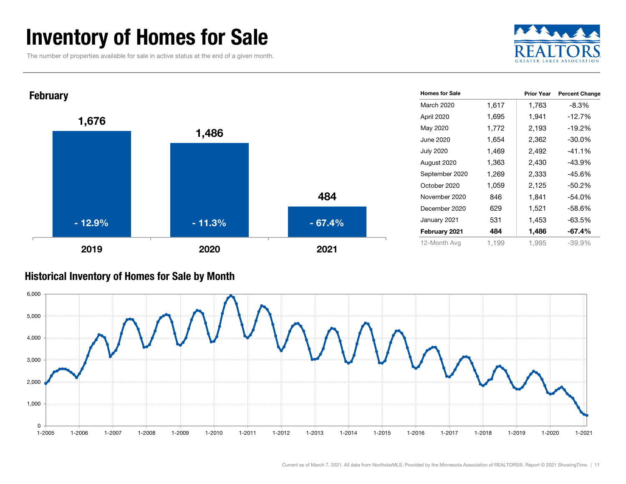### Inventory of Homes for Sale

The number of properties available for sale in active status at the end of a given month.





#### Historical Inventory of Homes for Sale by Month

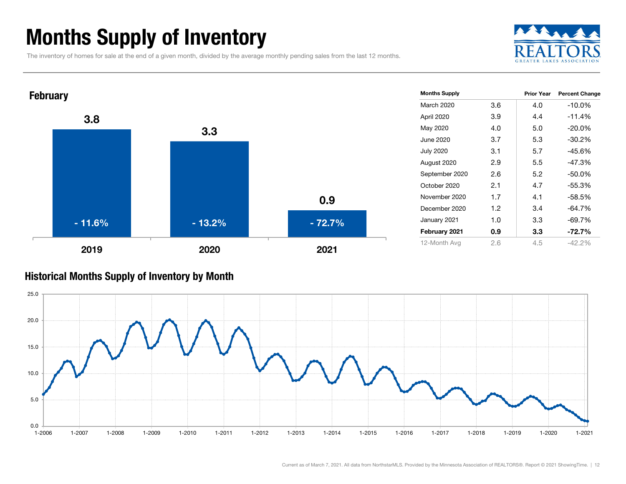### Months Supply of Inventory

The inventory of homes for sale at the end of a given month, divided by the average monthly pending sales from the last 12 months.





#### Historical Months Supply of Inventory by Month